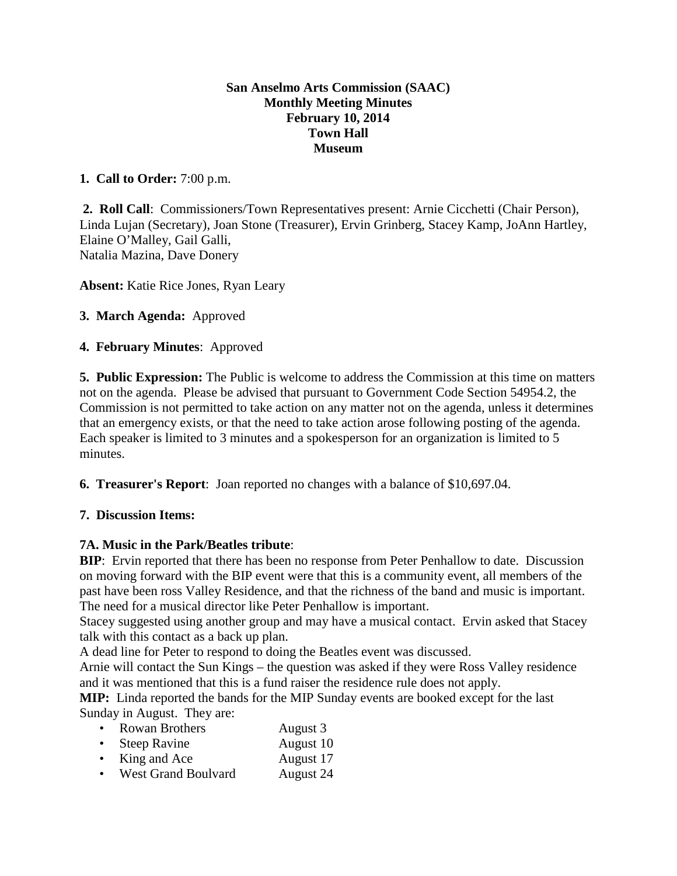#### **San Anselmo Arts Commission (SAAC) Monthly Meeting Minutes February 10, 2014 Town Hall Museum**

### **1. Call to Order:** 7:00 p.m.

**2. Roll Call**: Commissioners/Town Representatives present: Arnie Cicchetti (Chair Person), Linda Lujan (Secretary), Joan Stone (Treasurer), Ervin Grinberg, Stacey Kamp, JoAnn Hartley, Elaine O'Malley, Gail Galli, Natalia Mazina, Dave Donery

**Absent:** Katie Rice Jones, Ryan Leary

**3. March Agenda:** Approved

#### **4. February Minutes**: Approved

**5. Public Expression:** The Public is welcome to address the Commission at this time on matters not on the agenda. Please be advised that pursuant to Government Code Section 54954.2, the Commission is not permitted to take action on any matter not on the agenda, unless it determines that an emergency exists, or that the need to take action arose following posting of the agenda. Each speaker is limited to 3 minutes and a spokesperson for an organization is limited to 5 minutes.

**6. Treasurer's Report**: Joan reported no changes with a balance of \$10,697.04.

### **7. Discussion Items:**

### **7A. Music in the Park/Beatles tribute**:

**BIP**: Ervin reported that there has been no response from Peter Penhallow to date. Discussion on moving forward with the BIP event were that this is a community event, all members of the past have been ross Valley Residence, and that the richness of the band and music is important. The need for a musical director like Peter Penhallow is important.

Stacey suggested using another group and may have a musical contact. Ervin asked that Stacey talk with this contact as a back up plan.

A dead line for Peter to respond to doing the Beatles event was discussed.

Arnie will contact the Sun Kings – the question was asked if they were Ross Valley residence and it was mentioned that this is a fund raiser the residence rule does not apply.

**MIP:** Linda reported the bands for the MIP Sunday events are booked except for the last Sunday in August. They are:

| <b>Rowan Brothers</b> | August 3  |
|-----------------------|-----------|
| <b>Steep Ravine</b>   | August 10 |
| King and Ace          | August 17 |

• King and Ace August 17  $\bullet$  West Grand Boulvard